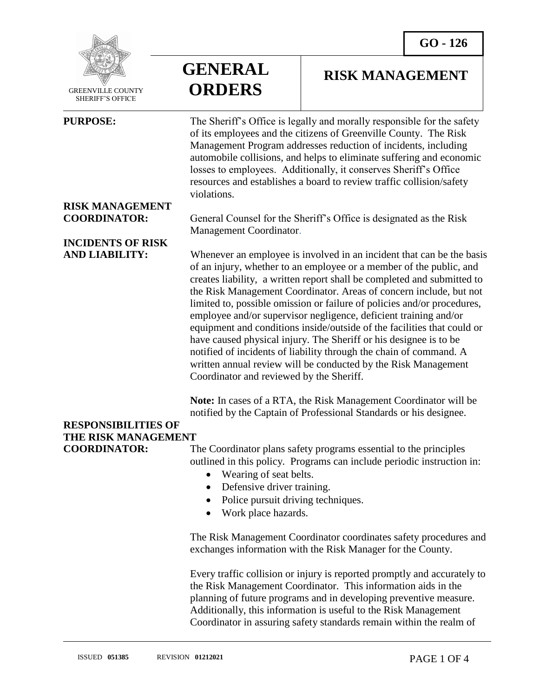

 GREENVILLE COUNTY SHERIFF'S OFFICE

 $\overline{a}$ 

**GENERAL ORDERS**

#### **RISK MANAGEMENT**

**PURPOSE:** The Sheriff's Office is legally and morally responsible for the safety of its employees and the citizens of Greenville County. The Risk Management Program addresses reduction of incidents, including automobile collisions, and helps to eliminate suffering and economic losses to employees. Additionally, it conserves Sheriff's Office resources and establishes a board to review traffic collision/safety violations.

## **RISK MANAGEMENT**

## **INCIDENTS OF RISK**

**COORDINATOR:** General Counsel for the Sheriff's Office is designated as the Risk Management Coordinator.

**AND LIABILITY:** Whenever an employee is involved in an incident that can be the basis of an injury, whether to an employee or a member of the public, and creates liability, a written report shall be completed and submitted to the Risk Management Coordinator. Areas of concern include, but not limited to, possible omission or failure of policies and/or procedures, employee and/or supervisor negligence, deficient training and/or equipment and conditions inside/outside of the facilities that could or have caused physical injury. The Sheriff or his designee is to be notified of incidents of liability through the chain of command. A written annual review will be conducted by the Risk Management Coordinator and reviewed by the Sheriff.

> **Note:** In cases of a RTA, the Risk Management Coordinator will be notified by the Captain of Professional Standards or his designee.

### **RESPONSIBILITIES OF THE RISK MANAGEMENT**

**COORDINATOR:** The Coordinator plans safety programs essential to the principles outlined in this policy. Programs can include periodic instruction in:

- Wearing of seat belts.
- Defensive driver training.
- Police pursuit driving techniques.
- Work place hazards.

The Risk Management Coordinator coordinates safety procedures and exchanges information with the Risk Manager for the County.

Every traffic collision or injury is reported promptly and accurately to the Risk Management Coordinator. This information aids in the planning of future programs and in developing preventive measure. Additionally, this information is useful to the Risk Management Coordinator in assuring safety standards remain within the realm of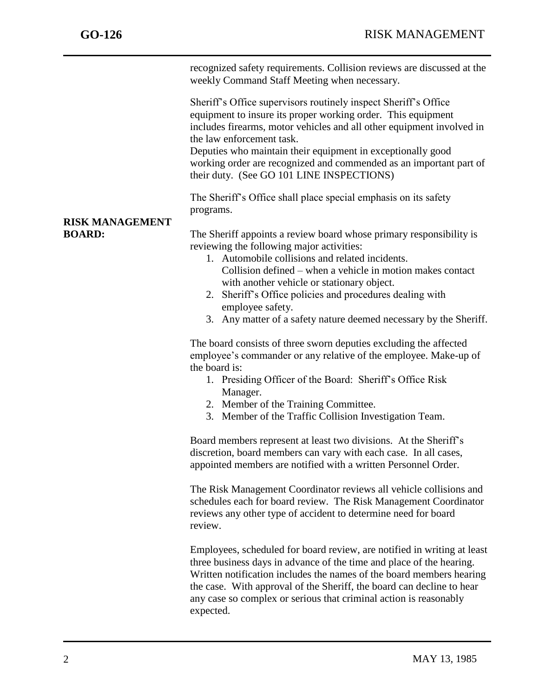j

recognized safety requirements. Collision reviews are discussed at the weekly Command Staff Meeting when necessary.

Sheriff's Office supervisors routinely inspect Sheriff's Office equipment to insure its proper working order. This equipment includes firearms, motor vehicles and all other equipment involved in the law enforcement task.

Deputies who maintain their equipment in exceptionally good working order are recognized and commended as an important part of their duty. (See GO 101 LINE INSPECTIONS)

The Sheriff's Office shall place special emphasis on its safety programs.

# **RISK MANAGEMENT**

**BOARD:** The Sheriff appoints a review board whose primary responsibility is reviewing the following major activities:

- 1. Automobile collisions and related incidents. Collision defined – when a vehicle in motion makes contact with another vehicle or stationary object.
- 2. Sheriff's Office policies and procedures dealing with employee safety.
- 3. Any matter of a safety nature deemed necessary by the Sheriff.

The board consists of three sworn deputies excluding the affected employee's commander or any relative of the employee. Make-up of the board is:

- 1. Presiding Officer of the Board: Sheriff's Office Risk Manager.
- 2. Member of the Training Committee.
- 3. Member of the Traffic Collision Investigation Team.

Board members represent at least two divisions. At the Sheriff's discretion, board members can vary with each case. In all cases, appointed members are notified with a written Personnel Order.

The Risk Management Coordinator reviews all vehicle collisions and schedules each for board review. The Risk Management Coordinator reviews any other type of accident to determine need for board review.

Employees, scheduled for board review, are notified in writing at least three business days in advance of the time and place of the hearing. Written notification includes the names of the board members hearing the case. With approval of the Sheriff, the board can decline to hear any case so complex or serious that criminal action is reasonably expected.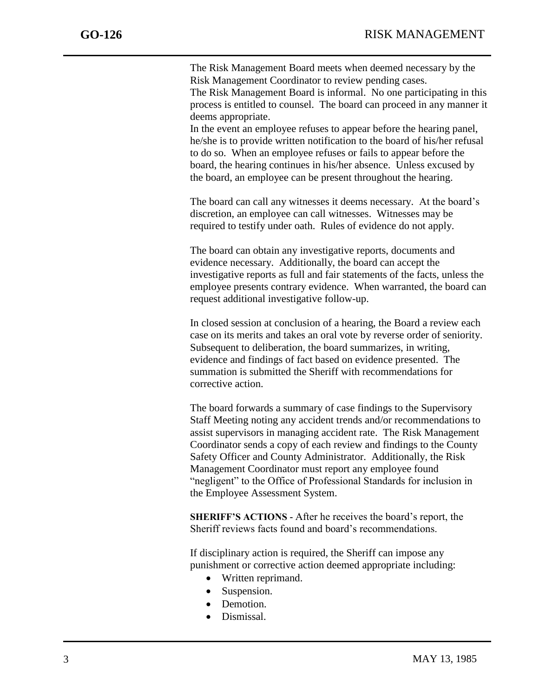j

The Risk Management Board meets when deemed necessary by the Risk Management Coordinator to review pending cases.

The Risk Management Board is informal. No one participating in this process is entitled to counsel. The board can proceed in any manner it deems appropriate.

In the event an employee refuses to appear before the hearing panel, he/she is to provide written notification to the board of his/her refusal to do so. When an employee refuses or fails to appear before the board, the hearing continues in his/her absence. Unless excused by the board, an employee can be present throughout the hearing.

The board can call any witnesses it deems necessary. At the board's discretion, an employee can call witnesses. Witnesses may be required to testify under oath. Rules of evidence do not apply.

The board can obtain any investigative reports, documents and evidence necessary. Additionally, the board can accept the investigative reports as full and fair statements of the facts, unless the employee presents contrary evidence. When warranted, the board can request additional investigative follow-up.

In closed session at conclusion of a hearing, the Board a review each case on its merits and takes an oral vote by reverse order of seniority. Subsequent to deliberation, the board summarizes, in writing, evidence and findings of fact based on evidence presented. The summation is submitted the Sheriff with recommendations for corrective action.

The board forwards a summary of case findings to the Supervisory Staff Meeting noting any accident trends and/or recommendations to assist supervisors in managing accident rate. The Risk Management Coordinator sends a copy of each review and findings to the County Safety Officer and County Administrator. Additionally, the Risk Management Coordinator must report any employee found "negligent" to the Office of Professional Standards for inclusion in the Employee Assessment System.

**SHERIFF'S ACTIONS -** After he receives the board's report, the Sheriff reviews facts found and board's recommendations.

If disciplinary action is required, the Sheriff can impose any punishment or corrective action deemed appropriate including:

- Written reprimand.
- Suspension.
- Demotion.
- Dismissal.